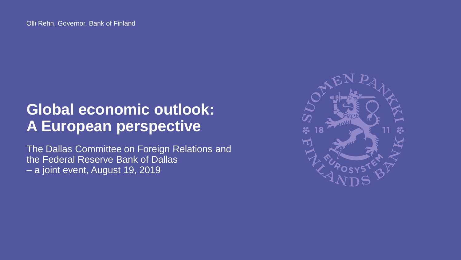## **Global economic outlook: A European perspective**

The Dallas Committee on Foreign Relations and the Federal Reserve Bank of Dallas – a joint event, August 19, 2019

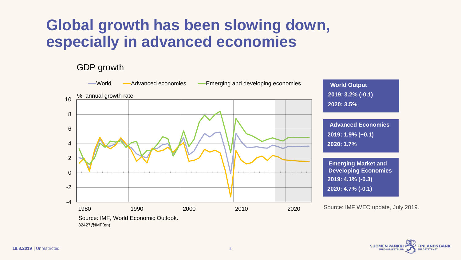## **Global growth has been slowing down, especially in advanced economies**

GDP growth



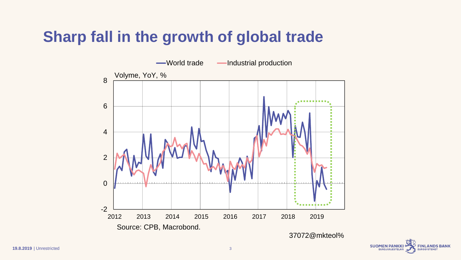# **Sharp fall in the growth of global trade**

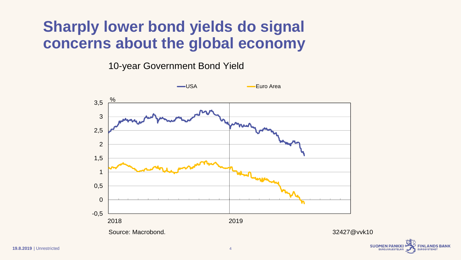## **Sharply lower bond yields do signal concerns about the global economy**

10-year Government Bond Yield



**NLANDS BANK** 

**EUROSYSTEMET** 

**EUROJÄRJESTELMÄ**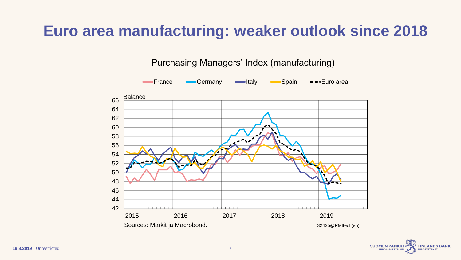## **Euro area manufacturing: weaker outlook since 2018**

Purchasing Managers' Index (manufacturing)



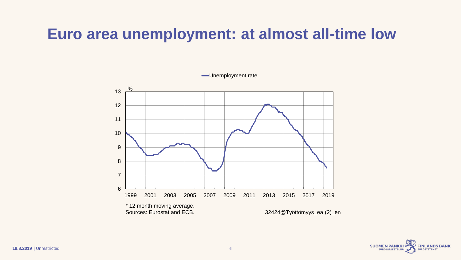## **Euro area unemployment: at almost all-time low**

Unemployment rate

6 7 8 9 10 11 12 13 1999 2001 2003 2005 2007 2009 2011 2013 2015 2017 2019 % \* 12 month moving average.<br>Sources: Eurostat and ECB. 32424@Työttömyys\_ea (2)\_en

> **SUOMEN PANKKI FINLANDS BANK EUROSYSTEMET**